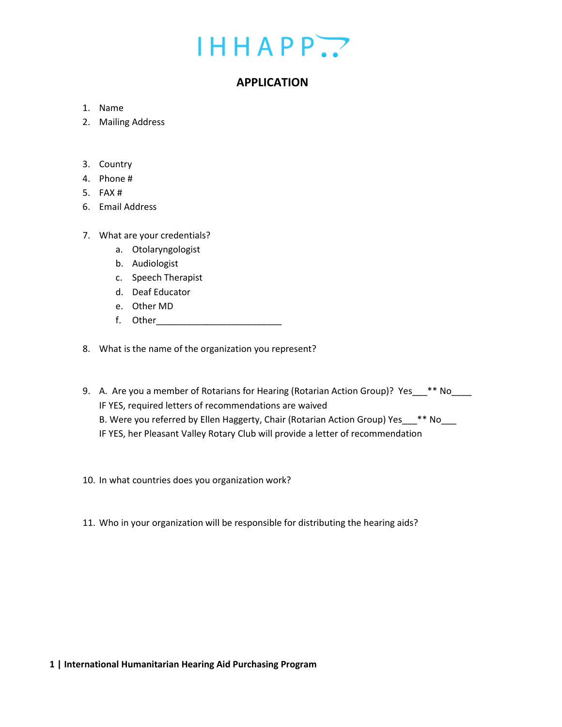## $IHHAPP.$

### **APPLICATION**

- 1. Name
- 2. Mailing Address
- 3. Country
- 4. Phone #
- 5. FAX #
- 6. Email Address
- 7. What are your credentials?
	- a. Otolaryngologist
	- b. Audiologist
	- c. Speech Therapist
	- d. Deaf Educator
	- e. Other MD
	- f. Other\_\_\_\_\_\_\_\_\_\_\_\_\_\_\_\_\_\_\_\_\_\_\_\_\_

8. What is the name of the organization you represent?

- 9. A. Are you a member of Rotarians for Hearing (Rotarian Action Group)? Yes\_\_\*\* No\_\_\_ IF YES, required letters of recommendations are waived B. Were you referred by Ellen Haggerty, Chair (Rotarian Action Group) Yes\_\_\_\*\* No IF YES, her Pleasant Valley Rotary Club will provide a letter of recommendation
- 10. In what countries does you organization work?
- 11. Who in your organization will be responsible for distributing the hearing aids?

### **1 | International Humanitarian Hearing Aid Purchasing Program**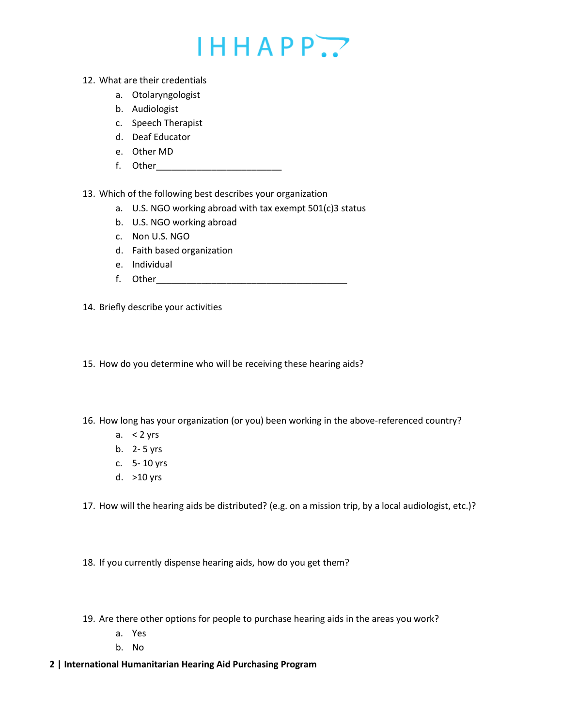# $IHHAPP.$

- 12. What are their credentials
	- a. Otolaryngologist
	- b. Audiologist
	- c. Speech Therapist
	- d. Deaf Educator
	- e. Other MD
	- f. Other\_\_\_\_\_\_\_\_\_\_\_\_\_\_\_\_\_\_\_\_\_\_\_\_\_

13. Which of the following best describes your organization

- a. U.S. NGO working abroad with tax exempt 501(c)3 status
- b. U.S. NGO working abroad
- c. Non U.S. NGO
- d. Faith based organization
- e. Individual
- f. Other
- 14. Briefly describe your activities
- 15. How do you determine who will be receiving these hearing aids?
- 16. How long has your organization (or you) been working in the above-referenced country?
	- a.  $<$  2 yrs
	- b. 2- 5 yrs
	- c. 5- 10 yrs
	- d. >10 yrs
- 17. How will the hearing aids be distributed? (e.g. on a mission trip, by a local audiologist, etc.)?
- 18. If you currently dispense hearing aids, how do you get them?
- 19. Are there other options for people to purchase hearing aids in the areas you work?
	- a. Yes
	- b. No
- **2 | International Humanitarian Hearing Aid Purchasing Program**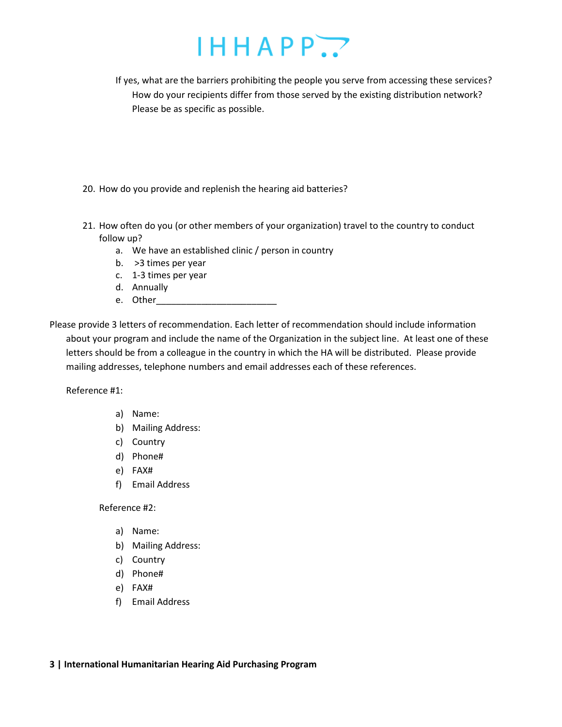# $IHHAPP. P$

If yes, what are the barriers prohibiting the people you serve from accessing these services? How do your recipients differ from those served by the existing distribution network? Please be as specific as possible.

- 20. How do you provide and replenish the hearing aid batteries?
- 21. How often do you (or other members of your organization) travel to the country to conduct follow up?
	- a. We have an established clinic / person in country
	- b. >3 times per year
	- c. 1-3 times per year
	- d. Annually
	- e. Other\_\_\_\_\_\_\_\_\_\_\_\_\_\_\_\_\_\_\_\_\_\_\_\_

Please provide 3 letters of recommendation. Each letter of recommendation should include information about your program and include the name of the Organization in the subject line. At least one of these letters should be from a colleague in the country in which the HA will be distributed. Please provide mailing addresses, telephone numbers and email addresses each of these references.

Reference #1:

- a) Name:
- b) Mailing Address:
- c) Country
- d) Phone#
- e) FAX#
- f) Email Address

Reference #2:

- a) Name:
- b) Mailing Address:
- c) Country
- d) Phone#
- e) FAX#
- f) Email Address

### **3 | International Humanitarian Hearing Aid Purchasing Program**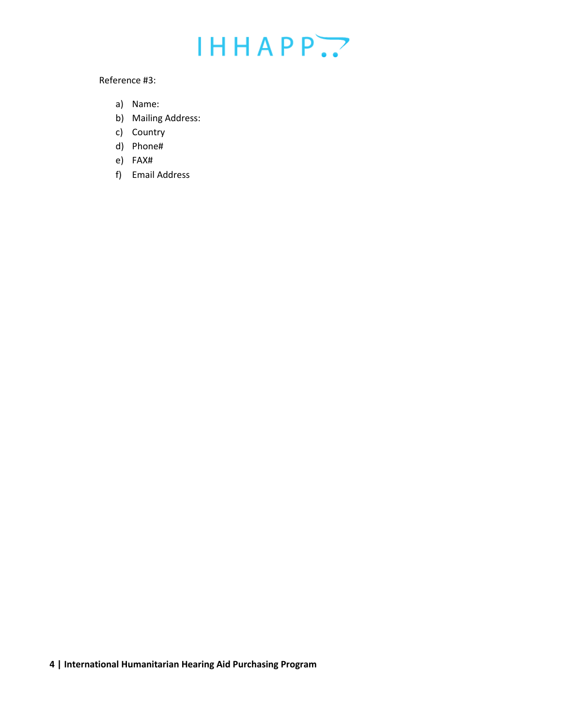## $IHHAPP.$

#### Reference #3:

- a) Name:
- b) Mailing Address:
- c) Country
- d) Phone#
- e) FAX#
- f) Email Address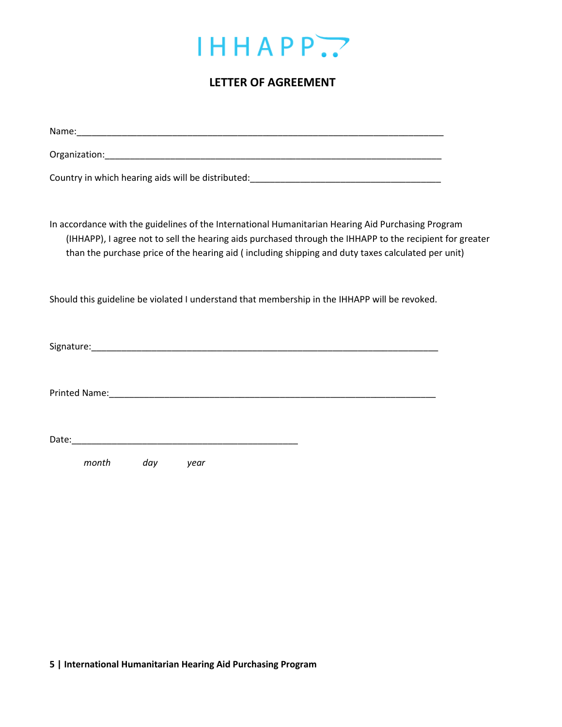

## **LETTER OF AGREEMENT**

| Country in which hearing aids will be distributed:_______________________________                                                                                                                                                                                                                                    |
|----------------------------------------------------------------------------------------------------------------------------------------------------------------------------------------------------------------------------------------------------------------------------------------------------------------------|
|                                                                                                                                                                                                                                                                                                                      |
| In accordance with the guidelines of the International Humanitarian Hearing Aid Purchasing Program<br>(IHHAPP), I agree not to sell the hearing aids purchased through the IHHAPP to the recipient for greater<br>than the purchase price of the hearing aid (including shipping and duty taxes calculated per unit) |
| Should this guideline be violated I understand that membership in the IHHAPP will be revoked.                                                                                                                                                                                                                        |
|                                                                                                                                                                                                                                                                                                                      |
|                                                                                                                                                                                                                                                                                                                      |
|                                                                                                                                                                                                                                                                                                                      |
| month<br>day year                                                                                                                                                                                                                                                                                                    |

**5 | International Humanitarian Hearing Aid Purchasing Program**